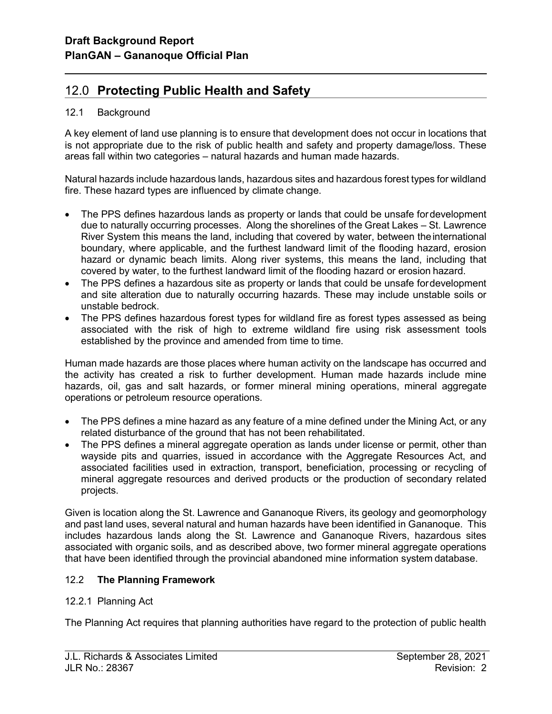# 12.0 Protecting Public Health and Safety

### 12.1 Background

l

A key element of land use planning is to ensure that development does not occur in locations that is not appropriate due to the risk of public health and safety and property damage/loss. These areas fall within two categories – natural hazards and human made hazards.

Natural hazards include hazardous lands, hazardous sites and hazardous forest types for wildland fire. These hazard types are influenced by climate change.

- The PPS defines hazardous lands as property or lands that could be unsafe for development due to naturally occurring processes. Along the shorelines of the Great Lakes – St. Lawrence River System this means the land, including that covered by water, between the international boundary, where applicable, and the furthest landward limit of the flooding hazard, erosion hazard or dynamic beach limits. Along river systems, this means the land, including that covered by water, to the furthest landward limit of the flooding hazard or erosion hazard.
- The PPS defines a hazardous site as property or lands that could be unsafe for development and site alteration due to naturally occurring hazards. These may include unstable soils or unstable bedrock.
- The PPS defines hazardous forest types for wildland fire as forest types assessed as being associated with the risk of high to extreme wildland fire using risk assessment tools established by the province and amended from time to time.

Human made hazards are those places where human activity on the landscape has occurred and the activity has created a risk to further development. Human made hazards include mine hazards, oil, gas and salt hazards, or former mineral mining operations, mineral aggregate operations or petroleum resource operations.

- The PPS defines a mine hazard as any feature of a mine defined under the Mining Act, or any related disturbance of the ground that has not been rehabilitated.
- The PPS defines a mineral aggregate operation as lands under license or permit, other than wayside pits and quarries, issued in accordance with the Aggregate Resources Act, and associated facilities used in extraction, transport, beneficiation, processing or recycling of mineral aggregate resources and derived products or the production of secondary related projects.

Given is location along the St. Lawrence and Gananoque Rivers, its geology and geomorphology and past land uses, several natural and human hazards have been identified in Gananoque. This includes hazardous lands along the St. Lawrence and Gananoque Rivers, hazardous sites associated with organic soils, and as described above, two former mineral aggregate operations that have been identified through the provincial abandoned mine information system database.

## 12.2 The Planning Framework

### 12.2.1 Planning Act

The Planning Act requires that planning authorities have regard to the protection of public health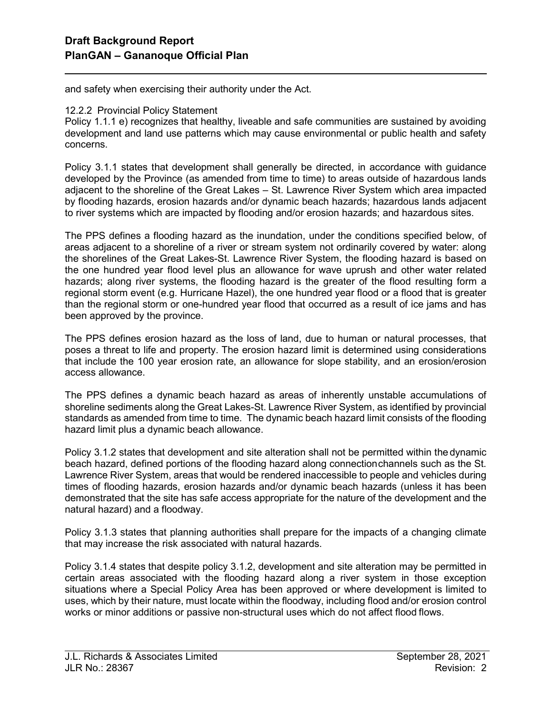and safety when exercising their authority under the Act.

#### 12.2.2 Provincial Policy Statement

l

Policy 1.1.1 e) recognizes that healthy, liveable and safe communities are sustained by avoiding development and land use patterns which may cause environmental or public health and safety concerns.

Policy 3.1.1 states that development shall generally be directed, in accordance with guidance developed by the Province (as amended from time to time) to areas outside of hazardous lands adjacent to the shoreline of the Great Lakes – St. Lawrence River System which area impacted by flooding hazards, erosion hazards and/or dynamic beach hazards; hazardous lands adjacent to river systems which are impacted by flooding and/or erosion hazards; and hazardous sites.

The PPS defines a flooding hazard as the inundation, under the conditions specified below, of areas adjacent to a shoreline of a river or stream system not ordinarily covered by water: along the shorelines of the Great Lakes-St. Lawrence River System, the flooding hazard is based on the one hundred year flood level plus an allowance for wave uprush and other water related hazards; along river systems, the flooding hazard is the greater of the flood resulting form a regional storm event (e.g. Hurricane Hazel), the one hundred year flood or a flood that is greater than the regional storm or one-hundred year flood that occurred as a result of ice jams and has been approved by the province.

The PPS defines erosion hazard as the loss of land, due to human or natural processes, that poses a threat to life and property. The erosion hazard limit is determined using considerations that include the 100 year erosion rate, an allowance for slope stability, and an erosion/erosion access allowance.

The PPS defines a dynamic beach hazard as areas of inherently unstable accumulations of shoreline sediments along the Great Lakes-St. Lawrence River System, as identified by provincial standards as amended from time to time. The dynamic beach hazard limit consists of the flooding hazard limit plus a dynamic beach allowance.

Policy 3.1.2 states that development and site alteration shall not be permitted within the dynamic beach hazard, defined portions of the flooding hazard along connection channels such as the St. Lawrence River System, areas that would be rendered inaccessible to people and vehicles during times of flooding hazards, erosion hazards and/or dynamic beach hazards (unless it has been demonstrated that the site has safe access appropriate for the nature of the development and the natural hazard) and a floodway.

Policy 3.1.3 states that planning authorities shall prepare for the impacts of a changing climate that may increase the risk associated with natural hazards.

Policy 3.1.4 states that despite policy 3.1.2, development and site alteration may be permitted in certain areas associated with the flooding hazard along a river system in those exception situations where a Special Policy Area has been approved or where development is limited to uses, which by their nature, must locate within the floodway, including flood and/or erosion control works or minor additions or passive non-structural uses which do not affect flood flows.